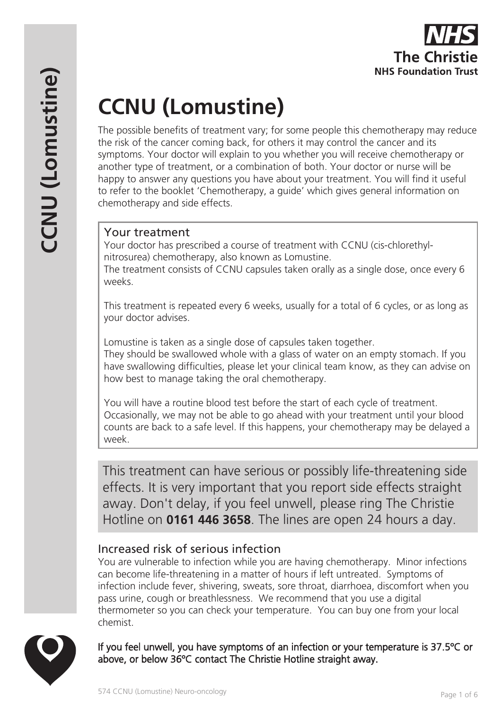# **CCNU (Lomustine)**

The possible benefits of treatment vary; for some people this chemotherapy may reduce the risk of the cancer coming back, for others it may control the cancer and its symptoms. Your doctor will explain to you whether you will receive chemotherapy or another type of treatment, or a combination of both. Your doctor or nurse will be happy to answer any questions you have about your treatment. You will find it useful to refer to the booklet 'Chemotherapy, a guide' which gives general information on chemotherapy and side effects.

# Your treatment

Your doctor has prescribed a course of treatment with CCNU (cis-chlorethylnitrosurea) chemotherapy, also known as Lomustine.

The treatment consists of CCNU capsules taken orally as a single dose, once every 6 weeks.

This treatment is repeated every 6 weeks, usually for a total of 6 cycles, or as long as your doctor advises.

Lomustine is taken as a single dose of capsules taken together. They should be swallowed whole with a glass of water on an empty stomach. If you have swallowing difficulties, please let your clinical team know, as they can advise on how best to manage taking the oral chemotherapy.

You will have a routine blood test before the start of each cycle of treatment. Occasionally, we may not be able to go ahead with your treatment until your blood counts are back to a safe level. If this happens, your chemotherapy may be delayed a week.

This treatment can have serious or possibly life-threatening side effects. It is very important that you report side effects straight away. Don't delay, if you feel unwell, please ring The Christie Hotline on **0161 446 3658**. The lines are open 24 hours a day.

# Increased risk of serious infection

You are vulnerable to infection while you are having chemotherapy. Minor infections can become life-threatening in a matter of hours if left untreated. Symptoms of infection include fever, shivering, sweats, sore throat, diarrhoea, discomfort when you pass urine, cough or breathlessness. We recommend that you use a digital thermometer so you can check your temperature. You can buy one from your local chemist.



If you feel unwell, you have symptoms of an infection or your temperature is 37.5ºC or above, or below 36ºC contact The Christie Hotline straight away.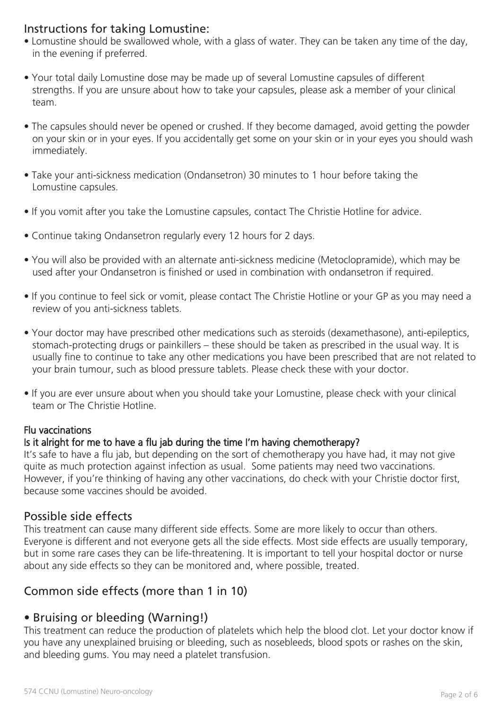# Instructions for taking Lomustine:

- Lomustine should be swallowed whole, with a glass of water. They can be taken any time of the day, in the evening if preferred.
- Your total daily Lomustine dose may be made up of several Lomustine capsules of different strengths. If you are unsure about how to take your capsules, please ask a member of your clinical team.
- The capsules should never be opened or crushed. If they become damaged, avoid getting the powder on your skin or in your eyes. If you accidentally get some on your skin or in your eyes you should wash immediately.
- Take your anti-sickness medication (Ondansetron) 30 minutes to 1 hour before taking the Lomustine capsules.
- If you vomit after you take the Lomustine capsules, contact The Christie Hotline for advice.
- Continue taking Ondansetron regularly every 12 hours for 2 days.
- You will also be provided with an alternate anti-sickness medicine (Metoclopramide), which may be used after your Ondansetron is finished or used in combination with ondansetron if required.
- If you continue to feel sick or vomit, please contact The Christie Hotline or your GP as you may need a review of you anti-sickness tablets.
- Your doctor may have prescribed other medications such as steroids (dexamethasone), anti-epileptics, stomach-protecting drugs or painkillers – these should be taken as prescribed in the usual way. It is usually fine to continue to take any other medications you have been prescribed that are not related to your brain tumour, such as blood pressure tablets. Please check these with your doctor.
- If you are ever unsure about when you should take your Lomustine, please check with your clinical team or The Christie Hotline.

#### Flu vaccinations

#### Is it alright for me to have a flu jab during the time I'm having chemotherapy?

It's safe to have a flu jab, but depending on the sort of chemotherapy you have had, it may not give quite as much protection against infection as usual. Some patients may need two vaccinations. However, if you're thinking of having any other vaccinations, do check with your Christie doctor first, because some vaccines should be avoided.

## Possible side effects

This treatment can cause many different side effects. Some are more likely to occur than others. Everyone is different and not everyone gets all the side effects. Most side effects are usually temporary, but in some rare cases they can be life-threatening. It is important to tell your hospital doctor or nurse about any side effects so they can be monitored and, where possible, treated.

# Common side effects (more than 1 in 10)

# • Bruising or bleeding (Warning!)

This treatment can reduce the production of platelets which help the blood clot. Let your doctor know if you have any unexplained bruising or bleeding, such as nosebleeds, blood spots or rashes on the skin, and bleeding gums. You may need a platelet transfusion.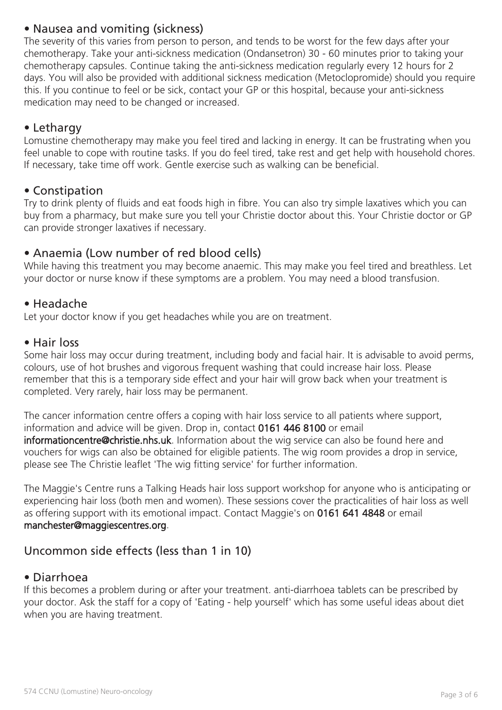# • Nausea and vomiting (sickness)

The severity of this varies from person to person, and tends to be worst for the few days after your chemotherapy. Take your anti-sickness medication (Ondansetron) 30 - 60 minutes prior to taking your chemotherapy capsules. Continue taking the anti-sickness medication regularly every 12 hours for 2 days. You will also be provided with additional sickness medication (Metoclopromide) should you require this. If you continue to feel or be sick, contact your GP or this hospital, because your anti-sickness medication may need to be changed or increased.

## • Lethargy

Lomustine chemotherapy may make you feel tired and lacking in energy. It can be frustrating when you feel unable to cope with routine tasks. If you do feel tired, take rest and get help with household chores. If necessary, take time off work. Gentle exercise such as walking can be beneficial.

## • Constipation

Try to drink plenty of fluids and eat foods high in fibre. You can also try simple laxatives which you can buy from a pharmacy, but make sure you tell your Christie doctor about this. Your Christie doctor or GP can provide stronger laxatives if necessary.

## • Anaemia (Low number of red blood cells)

While having this treatment you may become anaemic. This may make you feel tired and breathless. Let your doctor or nurse know if these symptoms are a problem. You may need a blood transfusion.

## • Headache

Let your doctor know if you get headaches while you are on treatment.

#### • Hair loss

Some hair loss may occur during treatment, including body and facial hair. It is advisable to avoid perms, colours, use of hot brushes and vigorous frequent washing that could increase hair loss. Please remember that this is a temporary side effect and your hair will grow back when your treatment is completed. Very rarely, hair loss may be permanent.

The cancer information centre offers a coping with hair loss service to all patients where support, information and advice will be given. Drop in, contact 0161 446 8100 or email informationcentre@christie.nhs.uk. Information about the wig service can also be found here and vouchers for wigs can also be obtained for eligible patients. The wig room provides a drop in service, please see The Christie leaflet 'The wig fitting service' for further information.

The Maggie's Centre runs a Talking Heads hair loss support workshop for anyone who is anticipating or experiencing hair loss (both men and women). These sessions cover the practicalities of hair loss as well as offering support with its emotional impact. Contact Maggie's on 0161 641 4848 or email manchester@maggiescentres.org.

# Uncommon side effects (less than 1 in 10)

## • Diarrhoea

If this becomes a problem during or after your treatment. anti-diarrhoea tablets can be prescribed by your doctor. Ask the staff for a copy of 'Eating - help yourself' which has some useful ideas about diet when you are having treatment.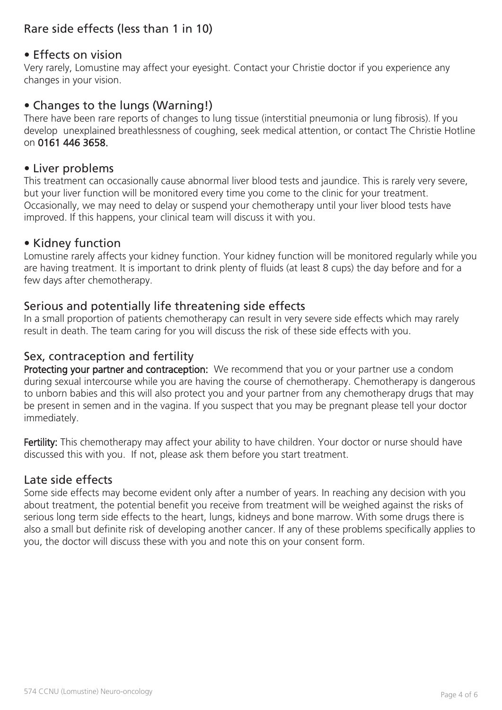# Rare side effects (less than 1 in 10)

## • Effects on vision

Very rarely, Lomustine may affect your eyesight. Contact your Christie doctor if you experience any changes in your vision.

## • Changes to the lungs (Warning!)

There have been rare reports of changes to lung tissue (interstitial pneumonia or lung fibrosis). If you develop unexplained breathlessness of coughing, seek medical attention, or contact The Christie Hotline on 0161 446 3658.

### • Liver problems

This treatment can occasionally cause abnormal liver blood tests and jaundice. This is rarely very severe, but your liver function will be monitored every time you come to the clinic for your treatment. Occasionally, we may need to delay or suspend your chemotherapy until your liver blood tests have improved. If this happens, your clinical team will discuss it with you.

#### • Kidney function

Lomustine rarely affects your kidney function. Your kidney function will be monitored regularly while you are having treatment. It is important to drink plenty of fluids (at least 8 cups) the day before and for a few days after chemotherapy.

## Serious and potentially life threatening side effects

In a small proportion of patients chemotherapy can result in very severe side effects which may rarely result in death. The team caring for you will discuss the risk of these side effects with you.

# Sex, contraception and fertility

Protecting your partner and contraception: We recommend that you or your partner use a condom during sexual intercourse while you are having the course of chemotherapy. Chemotherapy is dangerous to unborn babies and this will also protect you and your partner from any chemotherapy drugs that may be present in semen and in the vagina. If you suspect that you may be pregnant please tell your doctor immediately.

Fertility: This chemotherapy may affect your ability to have children. Your doctor or nurse should have discussed this with you. If not, please ask them before you start treatment.

## Late side effects

Some side effects may become evident only after a number of years. In reaching any decision with you about treatment, the potential benefit you receive from treatment will be weighed against the risks of serious long term side effects to the heart, lungs, kidneys and bone marrow. With some drugs there is also a small but definite risk of developing another cancer. If any of these problems specifically applies to you, the doctor will discuss these with you and note this on your consent form.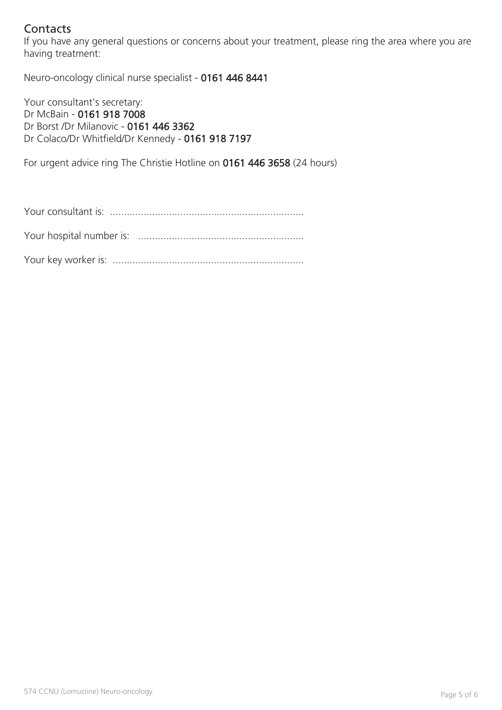# **Contacts**

If you have any general questions or concerns about your treatment, please ring the area where you are having treatment:

Neuro-oncology clinical nurse specialist - 0161 446 8441

Your consultant's secretary: Dr McBain - 0161 918 7008 Dr Borst /Dr Milanovic - 0161 446 3362 Dr Colaco/Dr Whitfield/Dr Kennedy - 0161 918 7197

For urgent advice ring The Christie Hotline on 0161 446 3658 (24 hours)

Your consultant is: .....................................................................

Your hospital number is: ...........................................................

Your key worker is: ....................................................................